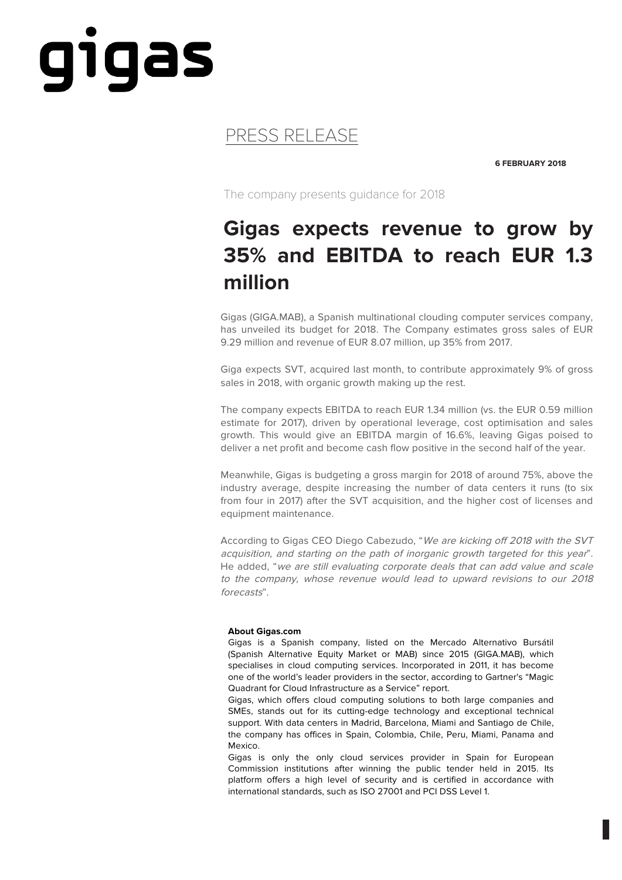## gigas

## PRESS RELEASE

**6 FEBRUARY 2018**

The company presents guidance for 2018

## **Gigas expects revenue to grow by 35% and EBITDA to reach EUR 1.3 million**

Gigas (GIGA.MAB), a Spanish multinational clouding computer services company, has unveiled its budget for 2018. The Company estimates gross sales of EUR 9.29 million and revenue of EUR 8.07 million, up 35% from 2017.

Giga expects SVT, acquired last month, to contribute approximately 9% of gross sales in 2018, with organic growth making up the rest.

The company expects EBITDA to reach EUR 1.34 million (vs. the EUR 0.59 million estimate for 2017), driven by operational leverage, cost optimisation and sales growth. This would give an EBITDA margin of 16.6%, leaving Gigas poised to deliver a net profit and become cash flow positive in the second half of the year.

Meanwhile, Gigas is budgeting a gross margin for 2018 of around 75%, above the industry average, despite increasing the number of data centers it runs (to six from four in 2017) after the SVT acquisition, and the higher cost of licenses and equipment maintenance.

According to Gigas CEO Diego Cabezudo, "We are kicking off 2018 with the SVT acquisition, and starting on the path of inorganic growth targeted for this year". He added, "we are still evaluating corporate deals that can add value and scale to the company, whose revenue would lead to upward revisions to our 2018 forecasts".

## **About Gigas.com**

Gigas is a Spanish company, listed on the Mercado Alternativo Bursátil (Spanish Alternative Equity Market or MAB) since 2015 (GIGA.MAB), which specialises in cloud computing services. Incorporated in 2011, it has become one of the world's leader providers in the sector, according to Gartner's "Magic Quadrant for Cloud Infrastructure as a Service" report.

Gigas, which offers cloud computing solutions to both large companies and SMEs, stands out for its cutting-edge technology and exceptional technical support. With data centers in Madrid, Barcelona, Miami and Santiago de Chile, the company has offices in Spain, Colombia, Chile, Peru, Miami, Panama and Mexico.

Gigas is only the only cloud services provider in Spain for European Commission institutions after winning the public tender held in 2015. Its platform offers a high level of security and is certified in accordance with international standards, such as ISO 27001 and PCI DSS Level 1.